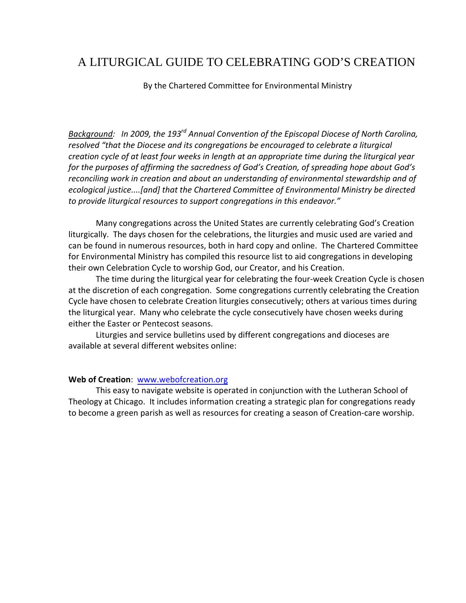## A LITURGICAL GUIDE TO CELEBRATING GOD'S CREATION

By the Chartered Committee for Environmental Ministry

*Background: In 2009, the 193rd Annual Convention of the Episcopal Diocese of North Carolina, resolved "that the Diocese and its congregations be encouraged to celebrate a liturgical creation cycle of at least four weeks in length at an appropriate time during the liturgical year for the purposes of affirming the sacredness of God's Creation, of spreading hope about God's reconciling work in creation and about an understanding of environmental stewardship and of ecological justice....[and] that the Chartered Committee of Environmental Ministry be directed to provide liturgical resources to support congregations in this endeavor."*

Many congregations across the United States are currently celebrating God's Creation liturgically. The days chosen for the celebrations, the liturgies and music used are varied and can be found in numerous resources, both in hard copy and online. The Chartered Committee for Environmental Ministry has compiled this resource list to aid congregations in developing their own Celebration Cycle to worship God, our Creator, and his Creation.

The time during the liturgical year for celebrating the four‐week Creation Cycle is chosen at the discretion of each congregation. Some congregations currently celebrating the Creation Cycle have chosen to celebrate Creation liturgies consecutively; others at various times during the liturgical year. Many who celebrate the cycle consecutively have chosen weeks during either the Easter or Pentecost seasons.

Liturgies and service bulletins used by different congregations and dioceses are available at several different websites online:

## **Web of Creation**: www.webofcreation.org

This easy to navigate website is operated in conjunction with the Lutheran School of Theology at Chicago. It includes information creating a strategic plan for congregations ready to become a green parish as well as resources for creating a season of Creation‐care worship.